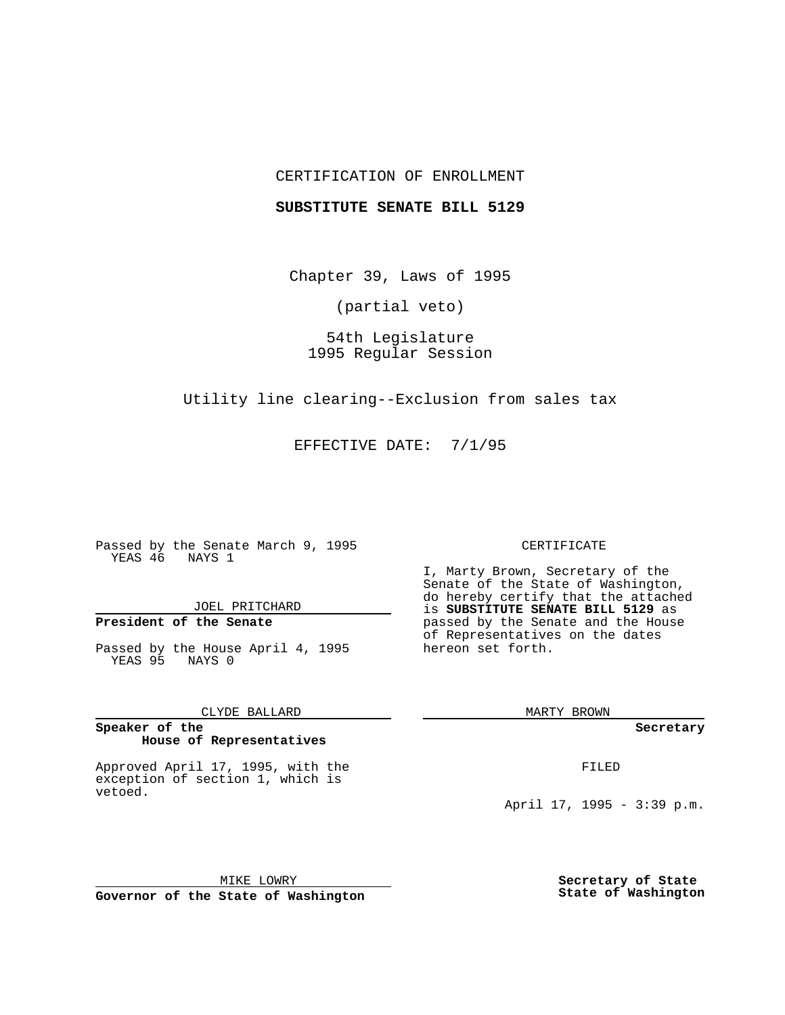## CERTIFICATION OF ENROLLMENT

### **SUBSTITUTE SENATE BILL 5129**

Chapter 39, Laws of 1995

(partial veto)

54th Legislature 1995 Regular Session

Utility line clearing--Exclusion from sales tax

EFFECTIVE DATE: 7/1/95

Passed by the Senate March 9, 1995 YEAS 46 NAYS 1

JOEL PRITCHARD

# **President of the Senate**

Passed by the House April 4, 1995 YEAS 95 NAYS 0

CLYDE BALLARD

#### **Speaker of the House of Representatives**

Approved April 17, 1995, with the exception of section 1, which is vetoed.

## CERTIFICATE

I, Marty Brown, Secretary of the Senate of the State of Washington, do hereby certify that the attached is **SUBSTITUTE SENATE BILL 5129** as passed by the Senate and the House of Representatives on the dates hereon set forth.

MARTY BROWN

**Secretary**

FILED

April 17, 1995 - 3:39 p.m.

MIKE LOWRY **Governor of the State of Washington** **Secretary of State State of Washington**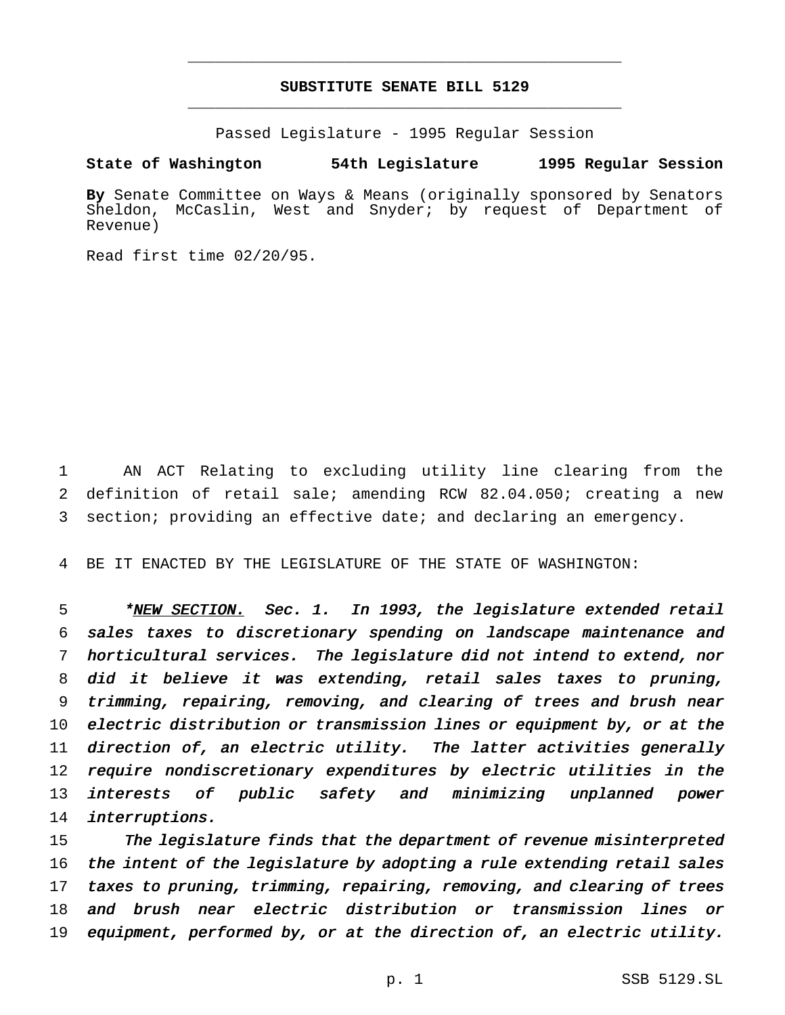# **SUBSTITUTE SENATE BILL 5129** \_\_\_\_\_\_\_\_\_\_\_\_\_\_\_\_\_\_\_\_\_\_\_\_\_\_\_\_\_\_\_\_\_\_\_\_\_\_\_\_\_\_\_\_\_\_\_

\_\_\_\_\_\_\_\_\_\_\_\_\_\_\_\_\_\_\_\_\_\_\_\_\_\_\_\_\_\_\_\_\_\_\_\_\_\_\_\_\_\_\_\_\_\_\_

Passed Legislature - 1995 Regular Session

## **State of Washington 54th Legislature 1995 Regular Session**

**By** Senate Committee on Ways & Means (originally sponsored by Senators McCaslin, West and Snyder; by request of Department of Revenue)

Read first time 02/20/95.

1 AN ACT Relating to excluding utility line clearing from the 2 definition of retail sale; amending RCW 82.04.050; creating a new 3 section; providing an effective date; and declaring an emergency.

4 BE IT ENACTED BY THE LEGISLATURE OF THE STATE OF WASHINGTON:

5 \*NEW SECTION. Sec. 1. In 1993, the legislature extended retail sales taxes to discretionary spending on landscape maintenance and horticultural services. The legislature did not intend to extend, nor did it believe it was extending, retail sales taxes to pruning, trimming, repairing, removing, and clearing of trees and brush near electric distribution or transmission lines or equipment by, or at the direction of, an electric utility. The latter activities generally require nondiscretionary expenditures by electric utilities in the interests of public safety and minimizing unplanned power 14 interruptions.

 The legislature finds that the department of revenue misinterpreted 16 the intent of the legislature by adopting a rule extending retail sales taxes to pruning, trimming, repairing, removing, and clearing of trees and brush near electric distribution or transmission lines or equipment, performed by, or at the direction of, an electric utility.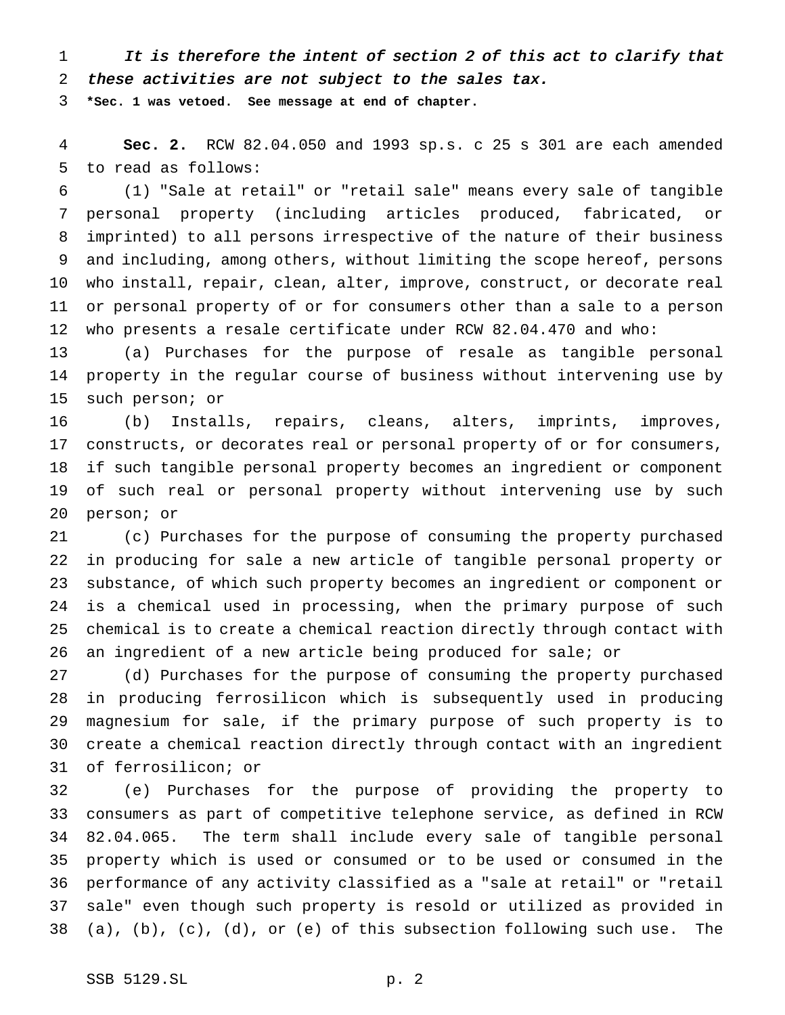1 It is therefore the intent of section 2 of this act to clarify that these activities are not subject to the sales tax.

**\*Sec. 1 was vetoed. See message at end of chapter.**

 **Sec. 2.** RCW 82.04.050 and 1993 sp.s. c 25 s 301 are each amended to read as follows:

 (1) "Sale at retail" or "retail sale" means every sale of tangible personal property (including articles produced, fabricated, or imprinted) to all persons irrespective of the nature of their business and including, among others, without limiting the scope hereof, persons who install, repair, clean, alter, improve, construct, or decorate real or personal property of or for consumers other than a sale to a person who presents a resale certificate under RCW 82.04.470 and who:

 (a) Purchases for the purpose of resale as tangible personal property in the regular course of business without intervening use by such person; or

 (b) Installs, repairs, cleans, alters, imprints, improves, constructs, or decorates real or personal property of or for consumers, if such tangible personal property becomes an ingredient or component of such real or personal property without intervening use by such person; or

 (c) Purchases for the purpose of consuming the property purchased in producing for sale a new article of tangible personal property or substance, of which such property becomes an ingredient or component or is a chemical used in processing, when the primary purpose of such chemical is to create a chemical reaction directly through contact with an ingredient of a new article being produced for sale; or

 (d) Purchases for the purpose of consuming the property purchased in producing ferrosilicon which is subsequently used in producing magnesium for sale, if the primary purpose of such property is to create a chemical reaction directly through contact with an ingredient of ferrosilicon; or

 (e) Purchases for the purpose of providing the property to consumers as part of competitive telephone service, as defined in RCW 82.04.065. The term shall include every sale of tangible personal property which is used or consumed or to be used or consumed in the performance of any activity classified as a "sale at retail" or "retail sale" even though such property is resold or utilized as provided in (a), (b), (c), (d), or (e) of this subsection following such use. The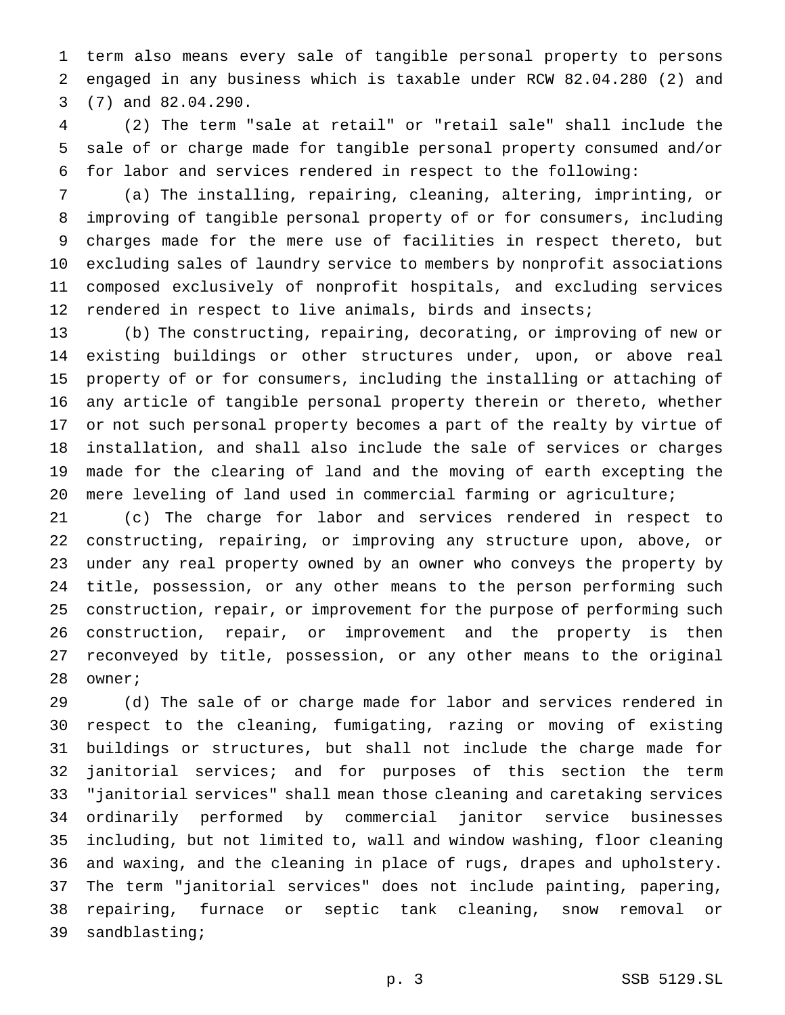term also means every sale of tangible personal property to persons engaged in any business which is taxable under RCW 82.04.280 (2) and (7) and 82.04.290.

 (2) The term "sale at retail" or "retail sale" shall include the sale of or charge made for tangible personal property consumed and/or for labor and services rendered in respect to the following:

 (a) The installing, repairing, cleaning, altering, imprinting, or improving of tangible personal property of or for consumers, including charges made for the mere use of facilities in respect thereto, but excluding sales of laundry service to members by nonprofit associations composed exclusively of nonprofit hospitals, and excluding services rendered in respect to live animals, birds and insects;

 (b) The constructing, repairing, decorating, or improving of new or existing buildings or other structures under, upon, or above real property of or for consumers, including the installing or attaching of any article of tangible personal property therein or thereto, whether or not such personal property becomes a part of the realty by virtue of installation, and shall also include the sale of services or charges made for the clearing of land and the moving of earth excepting the mere leveling of land used in commercial farming or agriculture;

 (c) The charge for labor and services rendered in respect to constructing, repairing, or improving any structure upon, above, or under any real property owned by an owner who conveys the property by title, possession, or any other means to the person performing such construction, repair, or improvement for the purpose of performing such construction, repair, or improvement and the property is then reconveyed by title, possession, or any other means to the original owner;

 (d) The sale of or charge made for labor and services rendered in respect to the cleaning, fumigating, razing or moving of existing buildings or structures, but shall not include the charge made for janitorial services; and for purposes of this section the term "janitorial services" shall mean those cleaning and caretaking services ordinarily performed by commercial janitor service businesses including, but not limited to, wall and window washing, floor cleaning and waxing, and the cleaning in place of rugs, drapes and upholstery. The term "janitorial services" does not include painting, papering, repairing, furnace or septic tank cleaning, snow removal or sandblasting;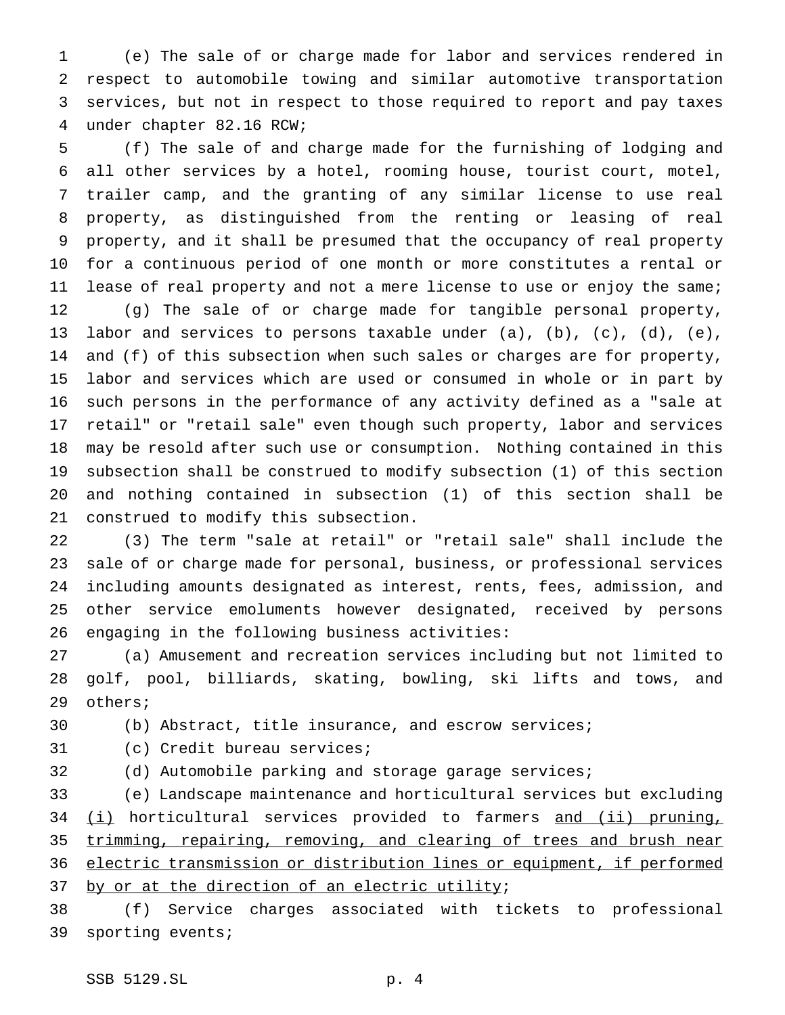(e) The sale of or charge made for labor and services rendered in respect to automobile towing and similar automotive transportation services, but not in respect to those required to report and pay taxes under chapter 82.16 RCW;

 (f) The sale of and charge made for the furnishing of lodging and all other services by a hotel, rooming house, tourist court, motel, trailer camp, and the granting of any similar license to use real property, as distinguished from the renting or leasing of real property, and it shall be presumed that the occupancy of real property for a continuous period of one month or more constitutes a rental or lease of real property and not a mere license to use or enjoy the same; (g) The sale of or charge made for tangible personal property, labor and services to persons taxable under (a), (b), (c), (d), (e), and (f) of this subsection when such sales or charges are for property, labor and services which are used or consumed in whole or in part by such persons in the performance of any activity defined as a "sale at retail" or "retail sale" even though such property, labor and services may be resold after such use or consumption. Nothing contained in this subsection shall be construed to modify subsection (1) of this section and nothing contained in subsection (1) of this section shall be construed to modify this subsection.

 (3) The term "sale at retail" or "retail sale" shall include the sale of or charge made for personal, business, or professional services including amounts designated as interest, rents, fees, admission, and other service emoluments however designated, received by persons engaging in the following business activities:

 (a) Amusement and recreation services including but not limited to golf, pool, billiards, skating, bowling, ski lifts and tows, and others;

(b) Abstract, title insurance, and escrow services;

- (c) Credit bureau services;
- 

(d) Automobile parking and storage garage services;

 (e) Landscape maintenance and horticultural services but excluding 34 (i) horticultural services provided to farmers and (ii) pruning, trimming, repairing, removing, and clearing of trees and brush near electric transmission or distribution lines or equipment, if performed 37 by or at the direction of an electric utility;

 (f) Service charges associated with tickets to professional sporting events;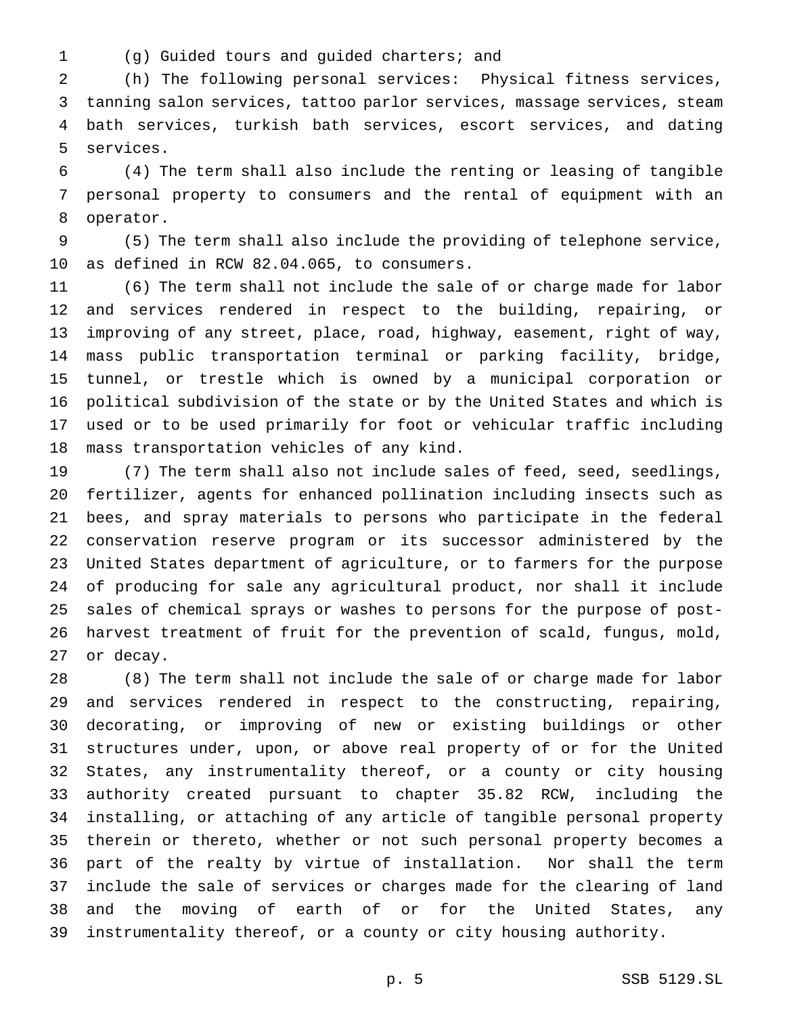- 
- (g) Guided tours and guided charters; and

 (h) The following personal services: Physical fitness services, tanning salon services, tattoo parlor services, massage services, steam bath services, turkish bath services, escort services, and dating services.

 (4) The term shall also include the renting or leasing of tangible personal property to consumers and the rental of equipment with an operator.

 (5) The term shall also include the providing of telephone service, as defined in RCW 82.04.065, to consumers.

 (6) The term shall not include the sale of or charge made for labor and services rendered in respect to the building, repairing, or improving of any street, place, road, highway, easement, right of way, mass public transportation terminal or parking facility, bridge, tunnel, or trestle which is owned by a municipal corporation or political subdivision of the state or by the United States and which is used or to be used primarily for foot or vehicular traffic including mass transportation vehicles of any kind.

 (7) The term shall also not include sales of feed, seed, seedlings, fertilizer, agents for enhanced pollination including insects such as bees, and spray materials to persons who participate in the federal conservation reserve program or its successor administered by the United States department of agriculture, or to farmers for the purpose of producing for sale any agricultural product, nor shall it include sales of chemical sprays or washes to persons for the purpose of post- harvest treatment of fruit for the prevention of scald, fungus, mold, or decay.

 (8) The term shall not include the sale of or charge made for labor and services rendered in respect to the constructing, repairing, decorating, or improving of new or existing buildings or other structures under, upon, or above real property of or for the United States, any instrumentality thereof, or a county or city housing authority created pursuant to chapter 35.82 RCW, including the installing, or attaching of any article of tangible personal property therein or thereto, whether or not such personal property becomes a part of the realty by virtue of installation. Nor shall the term include the sale of services or charges made for the clearing of land and the moving of earth of or for the United States, any instrumentality thereof, or a county or city housing authority.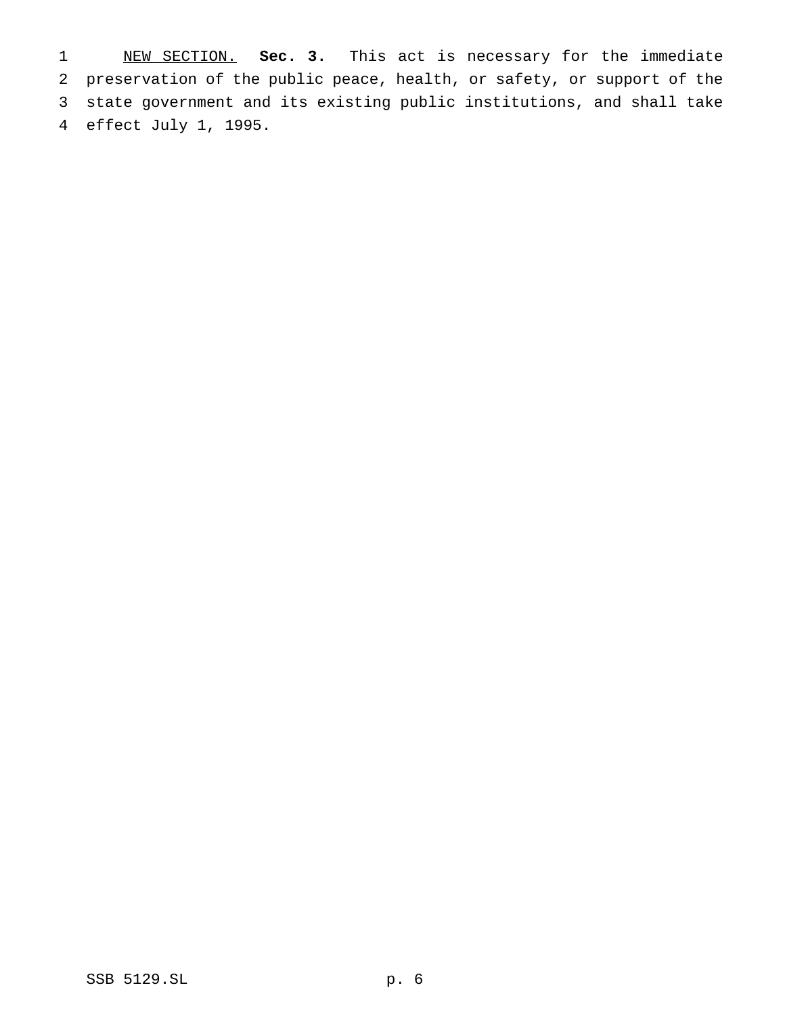NEW SECTION. **Sec. 3.** This act is necessary for the immediate preservation of the public peace, health, or safety, or support of the state government and its existing public institutions, and shall take effect July 1, 1995.